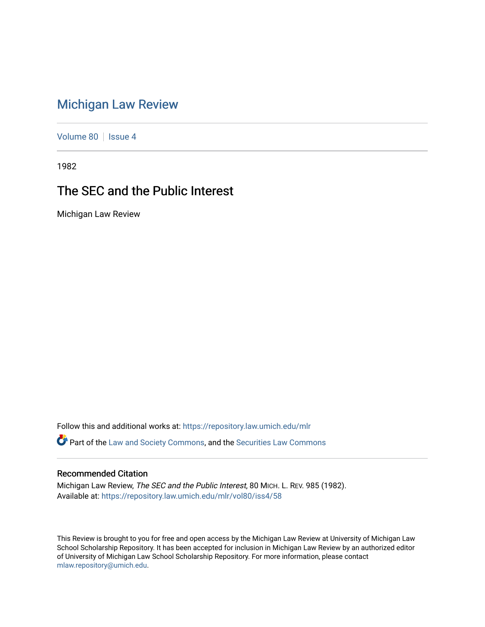## [Michigan Law Review](https://repository.law.umich.edu/mlr)

[Volume 80](https://repository.law.umich.edu/mlr/vol80) | [Issue 4](https://repository.law.umich.edu/mlr/vol80/iss4)

1982

## The SEC and the Public Interest

Michigan Law Review

Follow this and additional works at: [https://repository.law.umich.edu/mlr](https://repository.law.umich.edu/mlr?utm_source=repository.law.umich.edu%2Fmlr%2Fvol80%2Fiss4%2F58&utm_medium=PDF&utm_campaign=PDFCoverPages) 

Part of the [Law and Society Commons](http://network.bepress.com/hgg/discipline/853?utm_source=repository.law.umich.edu%2Fmlr%2Fvol80%2Fiss4%2F58&utm_medium=PDF&utm_campaign=PDFCoverPages), and the [Securities Law Commons](http://network.bepress.com/hgg/discipline/619?utm_source=repository.law.umich.edu%2Fmlr%2Fvol80%2Fiss4%2F58&utm_medium=PDF&utm_campaign=PDFCoverPages) 

## Recommended Citation

Michigan Law Review, The SEC and the Public Interest, 80 MICH. L. REV. 985 (1982). Available at: [https://repository.law.umich.edu/mlr/vol80/iss4/58](https://repository.law.umich.edu/mlr/vol80/iss4/58?utm_source=repository.law.umich.edu%2Fmlr%2Fvol80%2Fiss4%2F58&utm_medium=PDF&utm_campaign=PDFCoverPages) 

This Review is brought to you for free and open access by the Michigan Law Review at University of Michigan Law School Scholarship Repository. It has been accepted for inclusion in Michigan Law Review by an authorized editor of University of Michigan Law School Scholarship Repository. For more information, please contact [mlaw.repository@umich.edu.](mailto:mlaw.repository@umich.edu)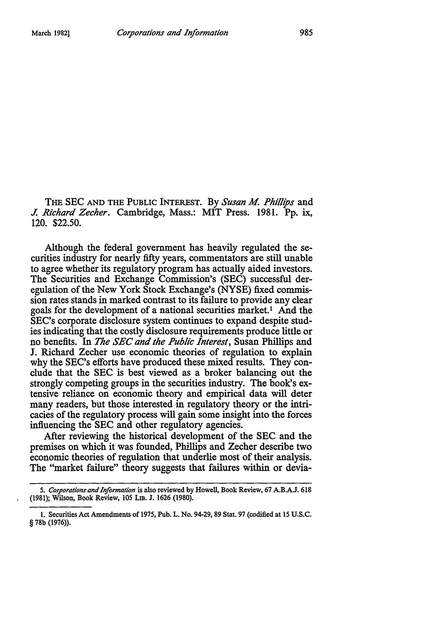THE SEC AND THE PUBLIC INTEREST. By *Susan M. Phillips* and *J. Richard Zecher.* Cambridge, Mass.: MIT Press. 1981. Pp. ix, 120. \$22.50.

Although the federal government has heavily regulated the securities industry for nearly fifty years, commentators are still unable to agree whether its regulatory program has actually aided investors. The Securities and Exchange Commission's (SEC) successful deregulation of the New York Stock Exchange's (NYSE) fixed commission rates stands in marked contrast to its failure to provide any clear goals for the development of a national securities market. 1 And the SEC's corporate disclosure system continues to expand despite studies indicating that the costly disclosure requirements produce little or no benefits. In *The SEC and the Public Interest,* Susan Phillips and J. Richard Zecher use economic theories of regulation to explain why the SEC's efforts have produced these mixed results. They conclude that the SEC is best viewed as a broker balancing out the strongly competing groups in the securities industry. The book's extensive reliance on economic theory and empirical data will deter many readers, but those interested in regulatory theory or the intricacies of the regulatory process will gain some insight into the forces influencing the SEC and other regulatory agencies.

After reviewing the historical development of the SEC and the premises on which it was founded, Phillips and Zecher describe two economic theories of regulation that underlie most of their analysis. The "market failure" theory suggests that failures within or devia-

<sup>5.</sup> *Corporations and Information* is also reviewed by Howell, Book Review, 67 A.B.A.J. 618 (1981); Wilson, Book Review, 105 LIB. J. 1626 (1980).

I. Securities Act Amendments of 1975, Pub. L. No. 94-29, 89 Stat. 97 (codified at 15 U.S.C. § 78b (1976)).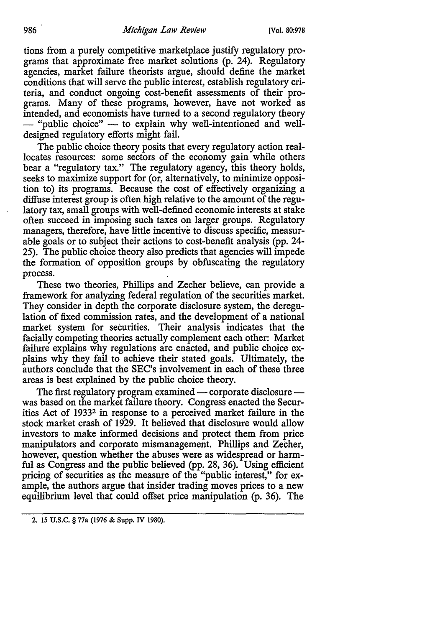tions from a purely competitive marketplace justify regulatory programs that approximate free market solutions (p. 24). Regulatory agencies, market failure theorists argue, should define the market conditions that will serve the public interest, establish regulatory criteria, and conduct ongoing cost-benefit assessments of their programs. Many of these programs, however, have not worked as intended, and economists have turned to a second regulatory theory - "public choice" - to explain why well-intentioned and welldesigned regulatory efforts might fail.

The public choice theory posits that every regulatory action reallocates resources: some sectors of the economy gain while others bear a "regulatory tax." The regulatory agency, this theory holds, seeks to maximize support for (or, alternatively, to minimize opposition to) its programs. Because the cost of effectively organizing a diffuse interest group is often high relative to the amount of the regulatory tax, small groups with well-defined economic interests at stake often succeed in imposing such taxes on larger groups. Regulatory managers, therefore, have little incentive to discuss specific, measurable goals or to subject their actions to cost-benefit analysis (pp. 24- 25). The public choice theory also predicts that agencies will impede the formation of opposition groups by obfuscating the regulatory process.

These two theories, Phillips and Zecher believe, can provide a framework for analyzing federal regulation of the securities market. They consider in depth the corporate disclosure system, the deregulation of fixed commission rates, and the development of a national market system for securities. Their analysis indicates that the facially competing theories actually complement each other: Market failure explains why regulations are enacted, and public choice explains why they fail to achieve their stated goals. Ultimately, the authors conclude that the SEC's involvement in each of these three areas is best explained by the public choice theory.

The first regulatory program examined  $-$  corporate disclosure  $$ was based on the market failure theory. Congress enacted the Securities Act of 19332 in response to a perceived market failure in the stock market crash of 1929. It believed that disclosure would allow investors to make informed decisions and protect them from price manipulators and corporate mismanagement. Phillips and Zecher, however, question whether the abuses were as widespread or harmful as Congress and the public believed (pp. 28, 36). Using efficient pricing of securities as the measure of the "public interest," for example, the authors argue that insider trading moves prices to a new equilibrium level that could offset price manipulation (p. 36). The

<sup>2. 15</sup> U.S.C. § 77a (1976 & Supp. IV 1980).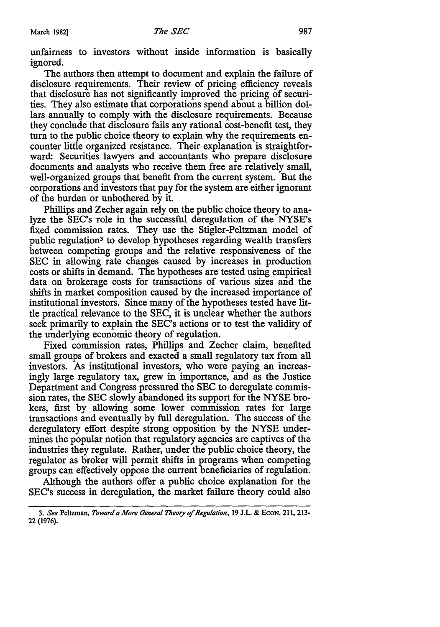unfairness to investors without inside information is basically ignored.

The authors then attempt to document and explain the failure of disclosure requirements. Their review of pricing efficiency reveals that disclosure has not significantly improved the pricing of securities. They also estimate that corporations spend about a billion dollars annually to comply with the disclosure requirements. Because they conclude that disclosure fails any rational cost-benefit test, they tum to the public choice theory to explain why the requirements encounter little organized resistance. Their explanation is straightforward: Securities lawyers and accountants who prepare disclosure documents and analysts who receive them free are relatively small, well-organized groups that benefit from the current system. But the corporations and investors that pay for the system are either ignorant of the burden or unbothered by it.

Phillips and Zecher again rely on the public choice theory to analyze the SEC's role in the successful deregulation of the NYSE's fixed commission rates. They use the Stigler-Peltzman model of public regulation3 to develop hypotheses regarding wealth transfers between competing groups and the relative responsiveness of the SEC in allowing rate changes caused by increases in production costs or shifts in demand. The hypotheses are tested using empirical data on brokerage costs for transactions of various sizes and the shifts in market composition caused by the increased importance of institutional investors. Since many of the hypotheses tested have little practical relevance to the SEC, it is unclear whether the authors seek primarily to explain the SEC's actions or to test the validity of the underlying economic theory of regulation.

Fixed commission rates, Phillips and Zecher claim, benefited small groups of brokers and exacted a small regulatory tax from all investors. As institutional investors, who were paying an increasingly large regulatory tax, grew in importance, and as the Justice Department and Congress pressured the SEC to deregulate commission rates, the SEC slowly abandoned its support for the NYSE brokers, first by allowing some lower commission rates for large transactions and eventually by full deregulation. The success of the deregulatory effort despite strong opposition by the NYSE undermines the popular notion that regulatory agencies are captives of the industries they regulate. Rather, under the public choice theory, the regulator as broker will permit shifts in programs when competing groups can effectively oppose the current beneficiaries of regulation.

Although the authors offer a public choice explanation for the SEC's success in deregulation, the market failure theory could also

<sup>3.</sup> *See* Peltzman, *Toward a More General Theory of Regulation,* 19 J.L. & EcoN. 211, 213- 22 (1976).